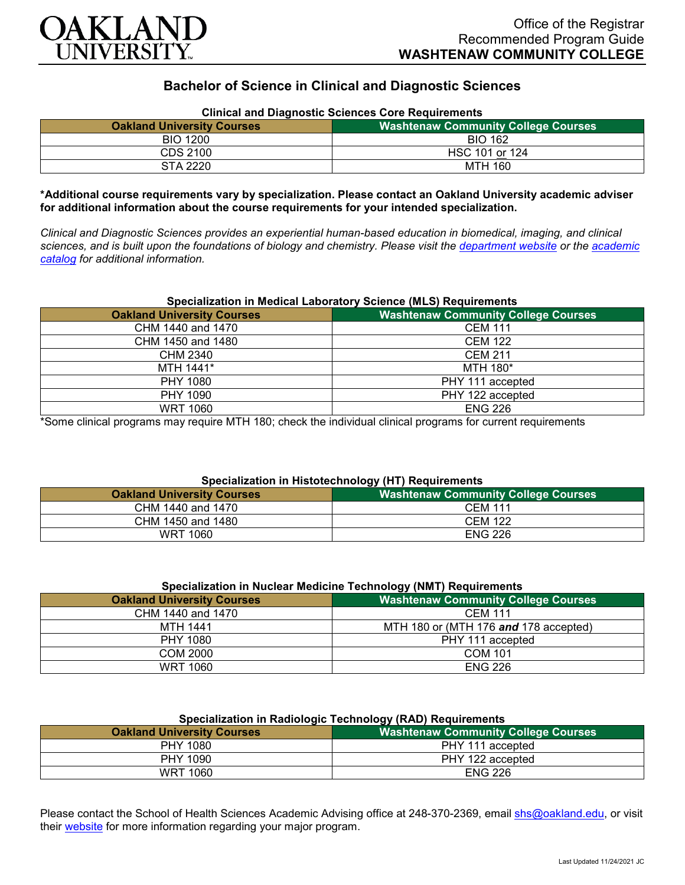

# **Bachelor of Science in Clinical and Diagnostic Sciences**

| <b>Clinical and Diagnostic Sciences Core Requirements</b> |                                            |
|-----------------------------------------------------------|--------------------------------------------|
| <b>Oakland University Courses</b>                         | <b>Washtenaw Community College Courses</b> |
| <b>BIO 1200</b>                                           | <b>BIO 162</b>                             |
| CDS 2100                                                  | HSC 101 or 124                             |
| STA 2220                                                  | MTH 160                                    |

### **\*Additional course requirements vary by specialization. Please contact an Oakland University academic adviser for additional information about the course requirements for your intended specialization.**

*Clinical and Diagnostic Sciences provides an experiential human-based education in biomedical, imaging, and clinical sciences, and is built upon the foundations of biology and chemistry. Please visit the [department website](https://www.oakland.edu/shs/clinical-and-diagnostic-sciences/) or the [academic](http://catalog.oakland.edu/preview_program.php?catoid=53&poid=8663)  [catalog](http://catalog.oakland.edu/preview_program.php?catoid=53&poid=8663) for additional information.*

### **Specialization in Medical Laboratory Science (MLS) Requirements**

| <b>Oakland University Courses</b> | <b>Washtenaw Community College Courses</b> |
|-----------------------------------|--------------------------------------------|
| CHM 1440 and 1470                 | <b>CEM 111</b>                             |
| CHM 1450 and 1480                 | <b>CEM 122</b>                             |
| CHM 2340                          | <b>CEM 211</b>                             |
| MTH 1441*                         | MTH 180*                                   |
| PHY 1080                          | PHY 111 accepted                           |
| PHY 1090                          | PHY 122 accepted                           |
| <b>WRT 1060</b>                   | <b>ENG 226</b>                             |

\*Some clinical programs may require MTH 180; check the individual clinical programs for current requirements

#### **Specialization in Histotechnology (HT) Requirements**

| <b>Oakland University Courses</b> | .<br><b>Washtenaw Community College Courses</b> |
|-----------------------------------|-------------------------------------------------|
| CHM 1440 and 1470                 | <b>CEM 111</b>                                  |
| CHM 1450 and 1480                 | <b>CEM 122</b>                                  |
| WRT 1060                          | <b>ENG 226</b>                                  |

| Specialization in Nuclear Medicine Technology (NMT) Requirements |                                            |
|------------------------------------------------------------------|--------------------------------------------|
| <b>Oakland University Courses</b>                                | <b>Washtenaw Community College Courses</b> |
| CHM 1440 and 1470                                                | <b>CEM 111</b>                             |
| MTH 1441                                                         | MTH 180 or (MTH 176 and 178 accepted)      |
| PHY 1080                                                         | PHY 111 accepted                           |
| COM 2000                                                         | <b>COM 101</b>                             |
| WRT 1060                                                         | <b>ENG 226</b>                             |

| Specialization in Radiologic Technology (RAD) Requirements |                                            |
|------------------------------------------------------------|--------------------------------------------|
| <b>Oakland University Courses</b>                          | <b>Washtenaw Community College Courses</b> |
| PHY 1080                                                   | PHY 111 accepted                           |
| PHY 1090                                                   | PHY 122 accepted                           |
| WRT 1060                                                   | <b>ENG 226</b>                             |

## **Specialization in Radiologic Technology (RAD) Requirements**

Please contact the School of Health Sciences Academic Advising office at 248-370-2369, email [shs@oakland.edu,](mailto:shs@oakland.edu) or visit their [website](http://www.oakland.edu/shs/advising) for more information regarding your major program.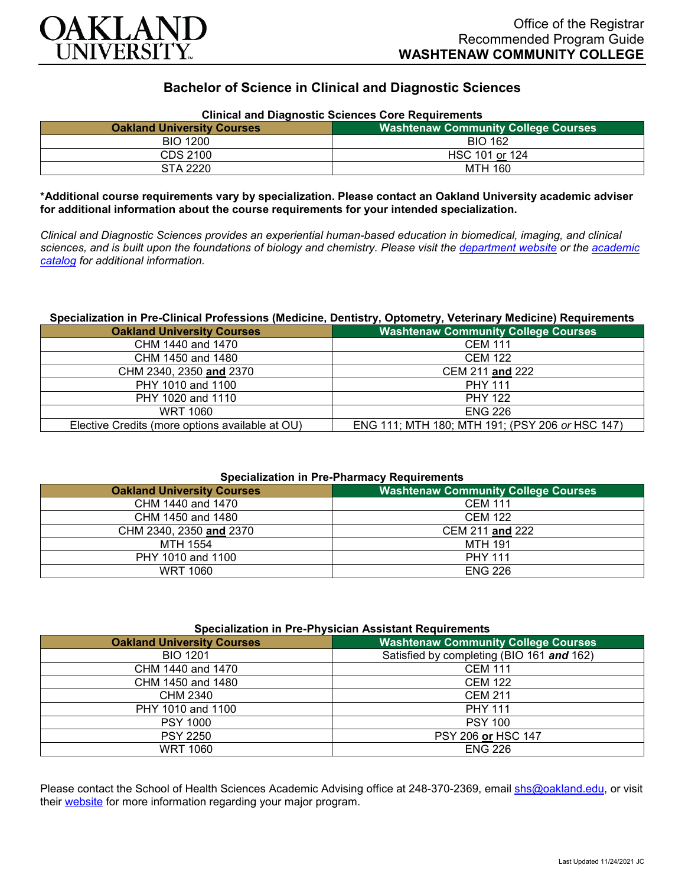

# **Bachelor of Science in Clinical and Diagnostic Sciences**

| <b>Clinical and Diagnostic Sciences Core Requirements</b> |                                            |
|-----------------------------------------------------------|--------------------------------------------|
| <b>Oakland University Courses</b>                         | <b>Nashtenaw Community College Courses</b> |
| <b>BIO 1200</b>                                           | <b>BIO 162</b>                             |
| CDS 2100                                                  | HSC 101 or 124                             |
| STA 2220                                                  | MTH 160                                    |

**\*Additional course requirements vary by specialization. Please contact an Oakland University academic adviser for additional information about the course requirements for your intended specialization.**

*Clinical and Diagnostic Sciences provides an experiential human-based education in biomedical, imaging, and clinical sciences, and is built upon the foundations of biology and chemistry. Please visit the [department website](https://www.oakland.edu/shs/clinical-and-diagnostic-sciences/) or the [academic](http://catalog.oakland.edu/preview_program.php?catoid=53&poid=8663)  [catalog](http://catalog.oakland.edu/preview_program.php?catoid=53&poid=8663) for additional information.*

#### **Specialization in Pre-Clinical Professions (Medicine, Dentistry, Optometry, Veterinary Medicine) Requirements**

| <b>Oakland University Courses</b>               | <b>Washtenaw Community College Courses</b>      |
|-------------------------------------------------|-------------------------------------------------|
| CHM 1440 and 1470                               | <b>CEM 111</b>                                  |
| CHM 1450 and 1480                               | <b>CEM 122</b>                                  |
| CHM 2340, 2350 and 2370                         | CEM 211 and 222                                 |
| PHY 1010 and 1100                               | <b>PHY 111</b>                                  |
| PHY 1020 and 1110                               | <b>PHY 122</b>                                  |
| WRT 1060                                        | <b>ENG 226</b>                                  |
| Elective Credits (more options available at OU) | ENG 111; MTH 180; MTH 191; (PSY 206 or HSC 147) |

#### **Specialization in Pre-Pharmacy Requirements**

| <b>Washtenaw Community College Courses</b> |  |
|--------------------------------------------|--|
| <b>CEM 111</b>                             |  |
| <b>CEM 122</b>                             |  |
| CEM 211 and 222                            |  |
| MTH 191                                    |  |
| <b>PHY 111</b>                             |  |
| <b>ENG 226</b>                             |  |
|                                            |  |

| Specialization in Pre-Physician Assistant Requirements |                                            |
|--------------------------------------------------------|--------------------------------------------|
| <b>Oakland University Courses</b>                      | <b>Washtenaw Community College Courses</b> |
| <b>BIO 1201</b>                                        | Satisfied by completing (BIO 161 and 162)  |
| CHM 1440 and 1470                                      | <b>CEM 111</b>                             |
| CHM 1450 and 1480                                      | <b>CEM 122</b>                             |
| <b>CHM 2340</b>                                        | <b>CEM 211</b>                             |
| PHY 1010 and 1100                                      | <b>PHY 111</b>                             |
| <b>PSY 1000</b>                                        | <b>PSY 100</b>                             |
| <b>PSY 2250</b>                                        | PSY 206 or HSC 147                         |
| <b>WRT 1060</b>                                        | <b>ENG 226</b>                             |

Please contact the School of Health Sciences Academic Advising office at 248-370-2369, email [shs@oakland.edu,](mailto:shs@oakland.edu) or visit their [website](http://www.oakland.edu/shs/advising) for more information regarding your major program.